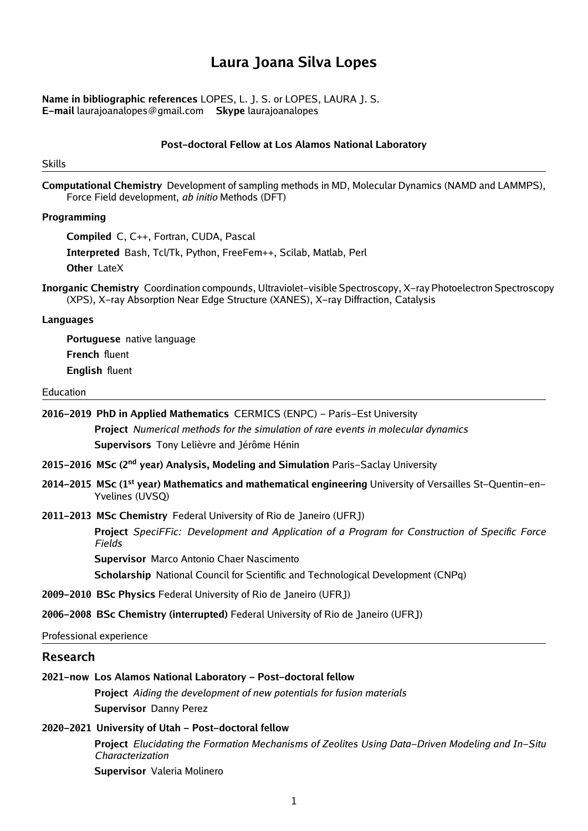# **Laura Joana Silva Lopes**

**Name in bibliographic references** LOPES, L. J. S. or LOPES, LAURA J. S. **E-mail** laurajoanalopes@gmail.com **Skype** laurajoanalopes

#### **Post-doctoral Fellow at Los Alamos National Laboratory**

Skills

**Computational Chemistry** Development of sampling methods in MD, Molecular Dynamics (NAMD and LAMMPS), Force Field development, *ab initio* Methods (DFT)

#### **Programming**

**Compiled** C, C++, Fortran, CUDA, Pascal

**Interpreted** Bash, Tcl/Tk, Python, FreeFem++, Scilab, Matlab, Perl

**Other** LateX

**Inorganic Chemistry** Coordination compounds, Ultraviolet-visible Spectroscopy, X-ray Photoelectron Spectroscopy (XPS), X-ray Absorption Near Edge Structure (XANES), X-ray Diffraction, Catalysis

#### **Languages**

**Portuguese** native language **French** fluent **English** fluent

#### Education

**2016-2019 PhD in Applied Mathematics** CERMICS (ENPC) - Paris-Est University **Project** *Numerical methods for the simulation of rare events in molecular dynamics* **Supervisors** Tony Lelièvre and Jérôme Hénin

- **2015-2016 MSc (2nd year) Analysis, Modeling and Simulation** Paris-Saclay University
- **2014-2015 MSc (1st year) Mathematics and mathematical engineering** University of Versailles St-Quentin-en-Yvelines (UVSQ)

#### **2011-2013 MSc Chemistry** Federal University of Rio de Janeiro (UFRJ)

**Project** *SpeciFFic: Development and Application of a Program for Construction of Specific Force Fields*

**Supervisor** Marco Antonio Chaer Nascimento

**Scholarship** National Council for Scientific and Technological Development (CNPq)

**2009-2010 BSc Physics** Federal University of Rio de Janeiro (UFRJ)

**2006-2008 BSc Chemistry (interrupted)** Federal University of Rio de Janeiro (UFRJ)

Professional experience

#### **Research**

#### **2021-now Los Alamos National Laboratory - Post-doctoral fellow**

**Project** *Aiding the development of new potentials for fusion materials* **Supervisor** Danny Perez

#### **2020-2021 University of Utah - Post-doctoral fellow**

**Project** *Elucidating the Formation Mechanisms of Zeolites Using Data-Driven Modeling and In-Situ Characterization*

**Supervisor** Valeria Molinero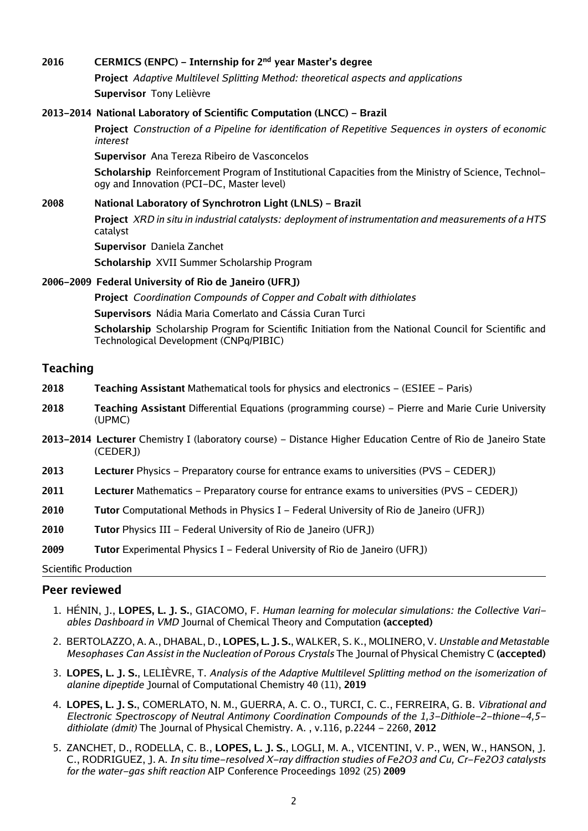## **2016 CERMICS (ENPC) - Internship for 2nd year Master's degree**

**Project** *Adaptive Multilevel Splitting Method: theoretical aspects and applications* **Supervisor** Tony Lelièvre

#### **2013-2014 National Laboratory of Scientific Computation (LNCC) - Brazil**

**Project** *Construction of a Pipeline for identification of Repetitive Sequences in oysters of economic interest*

**Supervisor** Ana Tereza Ribeiro de Vasconcelos

**Scholarship** Reinforcement Program of Institutional Capacities from the Ministry of Science, Technology and Innovation (PCI-DC, Master level)

### **2008 National Laboratory of Synchrotron Light (LNLS) - Brazil Project** *XRD in situ in industrial catalysts: deployment of instrumentation and measurements of a HTS* catalyst **Supervisor** Daniela Zanchet

**Scholarship** XVII Summer Scholarship Program

### **2006-2009 Federal University of Rio de Janeiro (UFRJ)**

**Project** *Coordination Compounds of Copper and Cobalt with dithiolates*

**Supervisors** Nádia Maria Comerlato and Cássia Curan Turci

**Scholarship** Scholarship Program for Scientific Initiation from the National Council for Scientific and Technological Development (CNPq/PIBIC)

### **Teaching**

- **2018 Teaching Assistant** Mathematical tools for physics and electronics (ESIEE Paris)
- **2018 Teaching Assistant** Differential Equations (programming course) Pierre and Marie Curie University (UPMC)
- **2013-2014 Lecturer** Chemistry I (laboratory course) Distance Higher Education Centre of Rio de Janeiro State (CEDERJ)
- **2013 Lecturer** Physics Preparatory course for entrance exams to universities (PVS CEDERJ)
- **2011 Lecturer** Mathematics Preparatory course for entrance exams to universities (PVS CEDERJ)
- **2010 Tutor** Computational Methods in Physics I Federal University of Rio de Janeiro (UFRJ)
- **2010 Tutor** Physics III Federal University of Rio de Janeiro (UFRJ)

**2009 Tutor** Experimental Physics I - Federal University of Rio de Janeiro (UFRJ)

Scientific Production

### **Peer reviewed**

- 1. HÉNIN, J., **LOPES, L. J. S.**, GIACOMO, F. *Human learning for molecular simulations: the Collective Variables Dashboard in VMD* Journal of Chemical Theory and Computation **(accepted)**
- 2. BERTOLAZZO, A. A., DHABAL, D., **LOPES, L. J. S.**, WALKER, S. K., MOLINERO, V. *Unstable and Metastable Mesophases Can Assist in the Nucleation of Porous Crystals* The Journal of Physical Chemistry C **(accepted)**
- 3. **LOPES, L. J. S.**, LELIÈVRE, T. *Analysis of the Adaptive Multilevel Splitting method on the isomerization of alanine dipeptide* Journal of Computational Chemistry 40 (11), **2019**
- 4. **LOPES, L. J. S.**, COMERLATO, N. M., GUERRA, A. C. O., TURCI, C. C., FERREIRA, G. B. *Vibrational and Electronic Spectroscopy of Neutral Antimony Coordination Compounds of the 1,3-Dithiole-2-thione-4,5 dithiolate (dmit)* The Journal of Physical Chemistry. A. , v.116, p.2244 - 2260, **2012**
- 5. ZANCHET, D., RODELLA, C. B., **LOPES, L. J. S.**, LOGLI, M. A., VICENTINI, V. P., WEN, W., HANSON, J. C., RODRIGUEZ, J. A. *In situ time-resolved X-ray diffraction studies of Fe2O3 and Cu, Cr-Fe2O3 catalysts for the water-gas shift reaction* AIP Conference Proceedings 1092 (25) **2009**